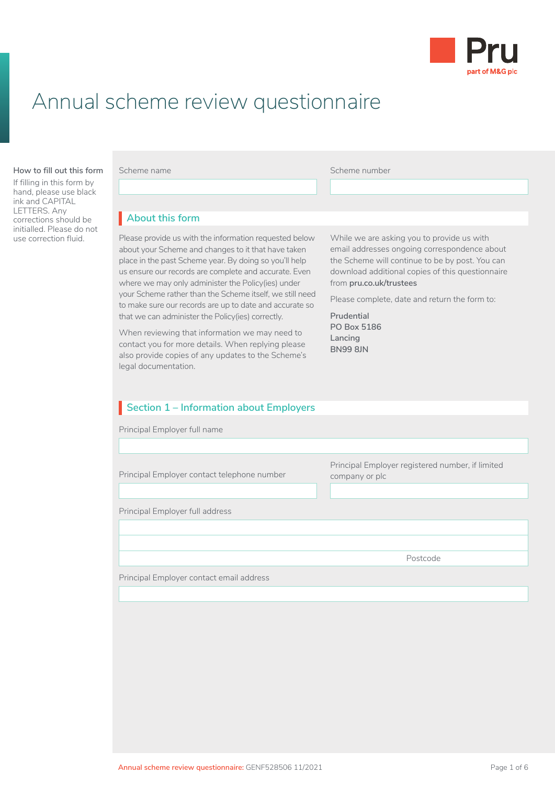

# Annual scheme review questionnaire

#### **About this form How to fill out this form**

If filling in this form by hand, please use black ink and CAPITAL LETTERS. Any corrections should be initialled. Please do not<br>use correction fluid.

Scheme number

## **About this form** I

Please provide us with the information requested below about your Scheme and changes to it that have taken place in the past Scheme year. By doing so you'll help us ensure our records are complete and accurate. Even where we may only administer the Policy(ies) under your Scheme rather than the Scheme itself, we still need to make sure our records are up to date and accurate so that we can administer the Policy(ies) correctly.

When reviewing that information we may need to contact you for more details. When replying please also provide copies of any updates to the Scheme's legal documentation.

While we are asking you to provide us with email addresses ongoing correspondence about the Scheme will continue to be by post. You can download additional copies of this questionnaire from **[pru.co.uk/trustees](https://www.pru.co.uk/trustees/)**

Please complete, date and return the form to:

**Prudential PO Box 5186 Lancing BN99 8JN**

## **Section 1 – Information about Employers**

Principal Employer full name

Principal Employer contact telephone number Principal Employer registered number, if limited company or plc Principal Employer full address Postcode Principal Employer contact email address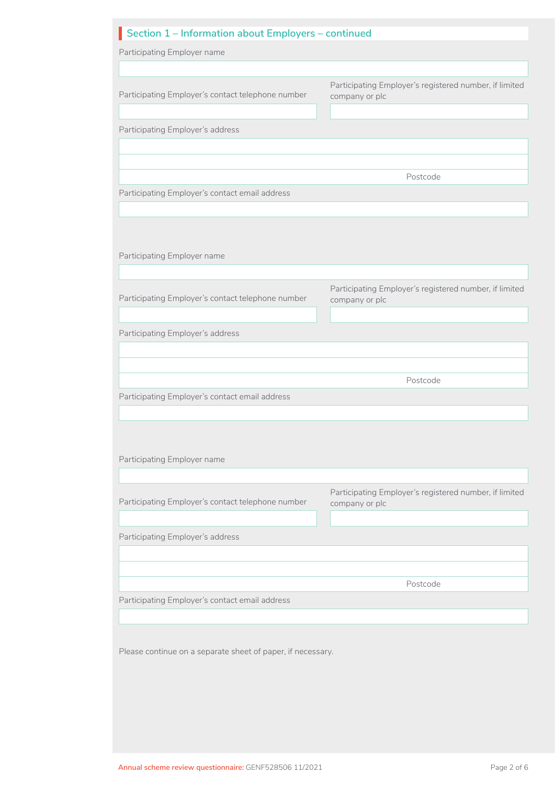| Section 1 - Information about Employers - continued                                |                                                                          |
|------------------------------------------------------------------------------------|--------------------------------------------------------------------------|
| Participating Employer name                                                        |                                                                          |
|                                                                                    |                                                                          |
| Participating Employer's contact telephone number                                  | Participating Employer's registered number, if limited<br>company or plc |
| Participating Employer's address                                                   |                                                                          |
|                                                                                    |                                                                          |
|                                                                                    | Postcode                                                                 |
|                                                                                    |                                                                          |
| Participating Employer's contact email address                                     |                                                                          |
|                                                                                    |                                                                          |
| Participating Employer name                                                        |                                                                          |
|                                                                                    |                                                                          |
| Participating Employer's contact telephone number                                  | Participating Employer's registered number, if limited<br>company or plc |
| Participating Employer's address                                                   |                                                                          |
|                                                                                    |                                                                          |
|                                                                                    |                                                                          |
|                                                                                    | Postcode                                                                 |
| Participating Employer's contact email address                                     |                                                                          |
|                                                                                    |                                                                          |
|                                                                                    |                                                                          |
| Participating Employer name                                                        |                                                                          |
|                                                                                    |                                                                          |
|                                                                                    |                                                                          |
| Participating Employer's contact telephone number                                  | company or plc                                                           |
|                                                                                    |                                                                          |
|                                                                                    |                                                                          |
|                                                                                    |                                                                          |
|                                                                                    | Postcode                                                                 |
|                                                                                    |                                                                          |
| Participating Employer's address<br>Participating Employer's contact email address |                                                                          |
|                                                                                    | Participating Employer's registered number, if limited                   |
| Please continue on a separate sheet of paper, if necessary.                        |                                                                          |
|                                                                                    |                                                                          |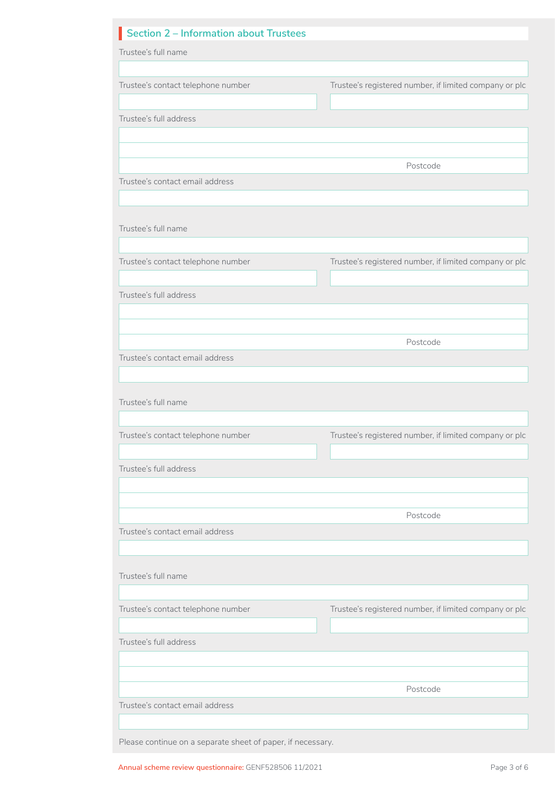| Section 2 - Information about Trustees                      |                                                        |  |  |
|-------------------------------------------------------------|--------------------------------------------------------|--|--|
| Trustee's full name                                         |                                                        |  |  |
|                                                             |                                                        |  |  |
| Trustee's contact telephone number                          | Trustee's registered number, if limited company or plc |  |  |
|                                                             |                                                        |  |  |
| Trustee's full address                                      |                                                        |  |  |
|                                                             |                                                        |  |  |
|                                                             | Postcode                                               |  |  |
| Trustee's contact email address                             |                                                        |  |  |
|                                                             |                                                        |  |  |
|                                                             |                                                        |  |  |
| Trustee's full name                                         |                                                        |  |  |
|                                                             |                                                        |  |  |
| Trustee's contact telephone number                          | Trustee's registered number, if limited company or plc |  |  |
|                                                             |                                                        |  |  |
| Trustee's full address                                      |                                                        |  |  |
|                                                             |                                                        |  |  |
|                                                             | Postcode                                               |  |  |
| Trustee's contact email address                             |                                                        |  |  |
|                                                             |                                                        |  |  |
|                                                             |                                                        |  |  |
| Trustee's full name                                         |                                                        |  |  |
|                                                             |                                                        |  |  |
| Trustee's contact telephone number                          | Trustee's registered number, if limited company or plc |  |  |
| Trustee's full address                                      |                                                        |  |  |
|                                                             |                                                        |  |  |
|                                                             |                                                        |  |  |
|                                                             | Postcode                                               |  |  |
| Trustee's contact email address                             |                                                        |  |  |
|                                                             |                                                        |  |  |
| Trustee's full name                                         |                                                        |  |  |
|                                                             |                                                        |  |  |
| Trustee's contact telephone number                          | Trustee's registered number, if limited company or plc |  |  |
|                                                             |                                                        |  |  |
| Trustee's full address                                      |                                                        |  |  |
|                                                             |                                                        |  |  |
|                                                             |                                                        |  |  |
|                                                             | Postcode                                               |  |  |
| Trustee's contact email address                             |                                                        |  |  |
|                                                             |                                                        |  |  |
| Please continue on a separate sheet of paper, if necessary. |                                                        |  |  |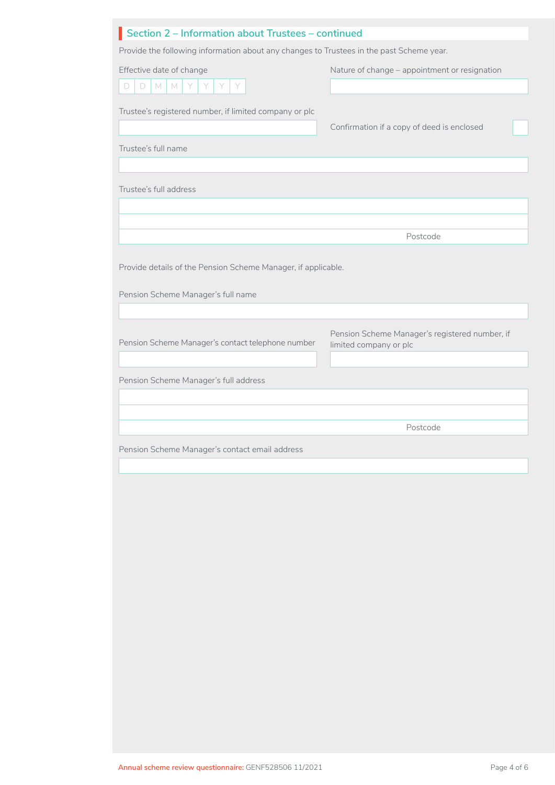| Section 2 - Information about Trustees - continued                                       |                                                |  |  |  |
|------------------------------------------------------------------------------------------|------------------------------------------------|--|--|--|
| Provide the following information about any changes to Trustees in the past Scheme year. |                                                |  |  |  |
| Effective date of change                                                                 | Nature of change - appointment or resignation  |  |  |  |
| D<br>$\Box$<br>$M^-$<br>M<br>Y<br>Y<br>Y<br>Y                                            |                                                |  |  |  |
| Trustee's registered number, if limited company or plc                                   |                                                |  |  |  |
|                                                                                          | Confirmation if a copy of deed is enclosed     |  |  |  |
| Trustee's full name                                                                      |                                                |  |  |  |
|                                                                                          |                                                |  |  |  |
|                                                                                          |                                                |  |  |  |
| Trustee's full address                                                                   |                                                |  |  |  |
|                                                                                          |                                                |  |  |  |
|                                                                                          | Postcode                                       |  |  |  |
|                                                                                          |                                                |  |  |  |
| Provide details of the Pension Scheme Manager, if applicable.                            |                                                |  |  |  |
|                                                                                          |                                                |  |  |  |
| Pension Scheme Manager's full name                                                       |                                                |  |  |  |
|                                                                                          |                                                |  |  |  |
|                                                                                          | Pension Scheme Manager's registered number, if |  |  |  |
| Pension Scheme Manager's contact telephone number                                        | limited company or plc                         |  |  |  |
|                                                                                          |                                                |  |  |  |
| Pension Scheme Manager's full address                                                    |                                                |  |  |  |
|                                                                                          |                                                |  |  |  |
|                                                                                          | Postcode                                       |  |  |  |
|                                                                                          |                                                |  |  |  |
| Pension Scheme Manager's contact email address                                           |                                                |  |  |  |
|                                                                                          |                                                |  |  |  |
|                                                                                          |                                                |  |  |  |
|                                                                                          |                                                |  |  |  |
|                                                                                          |                                                |  |  |  |
|                                                                                          |                                                |  |  |  |
|                                                                                          |                                                |  |  |  |
|                                                                                          |                                                |  |  |  |
|                                                                                          |                                                |  |  |  |
|                                                                                          |                                                |  |  |  |
|                                                                                          |                                                |  |  |  |
|                                                                                          |                                                |  |  |  |
|                                                                                          |                                                |  |  |  |
|                                                                                          |                                                |  |  |  |
|                                                                                          |                                                |  |  |  |
|                                                                                          |                                                |  |  |  |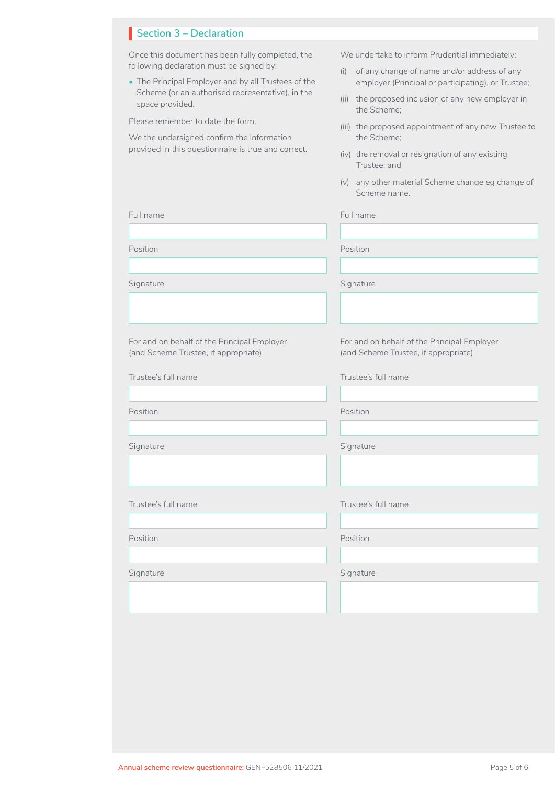## **Section 3 – Declaration**

Once this document has been fully completed, the following declaration must be signed by:

• The Principal Employer and by all Trustees of the Scheme (or an authorised representative), in the space provided.

Please remember to date the form.

We the undersigned confirm the information provided in this questionnaire is true and correct.

For and on behalf of the Principal Employer (and Scheme Trustee, if appropriate)

We undertake to inform Prudential immediately:

- (i) of any change of name and/or address of any employer (Principal or participating), or Trustee;
- (ii) the proposed inclusion of any new employer in the Scheme;
- (iii) the proposed appointment of any new Trustee to the Scheme;
- (iv) the removal or resignation of any existing Trustee; and
- (v) any other material Scheme change eg change of Scheme name.

Full name Full name

Signature Signature Signature Signature Signature Position Position For and on behalf of the Principal Employer (and Scheme Trustee, if appropriate)

Trustee's full name Trustee's full name

| Position                                     |  |  |
|----------------------------------------------|--|--|
|                                              |  |  |
| Signature                                    |  |  |
|                                              |  |  |
|                                              |  |  |
| $T_{\text{m}}$ $A_{\text{m}}$ $A_{\text{m}}$ |  |  |

Trustee's full name Trustee's full name

Position Position

Signature

Position

Signature Signature Signature Signature Signature